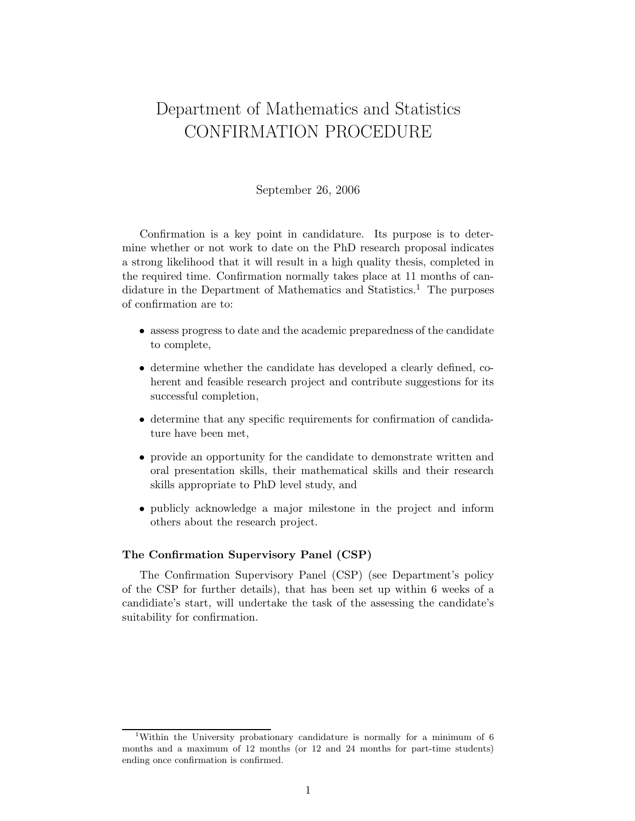## Department of Mathematics and Statistics CONFIRMATION PROCEDURE

## September 26, 2006

Confirmation is a key point in candidature. Its purpose is to determine whether or not work to date on the PhD research proposal indicates a strong likelihood that it will result in a high quality thesis, completed in the required time. Confirmation normally takes place at 11 months of candidature in the Department of Mathematics and Statistics.<sup>1</sup> The purposes of confirmation are to:

- assess progress to date and the academic preparedness of the candidate to complete,
- determine whether the candidate has developed a clearly defined, coherent and feasible research project and contribute suggestions for its successful completion,
- determine that any specific requirements for confirmation of candidature have been met,
- provide an opportunity for the candidate to demonstrate written and oral presentation skills, their mathematical skills and their research skills appropriate to PhD level study, and
- publicly acknowledge a major milestone in the project and inform others about the research project.

## The Confirmation Supervisory Panel (CSP)

The Confirmation Supervisory Panel (CSP) (see Department's policy of the CSP for further details), that has been set up within 6 weeks of a candidiate's start, will undertake the task of the assessing the candidate's suitability for confirmation.

<sup>1</sup>Within the University probationary candidature is normally for a minimum of 6 months and a maximum of 12 months (or 12 and 24 months for part-time students) ending once confirmation is confirmed.